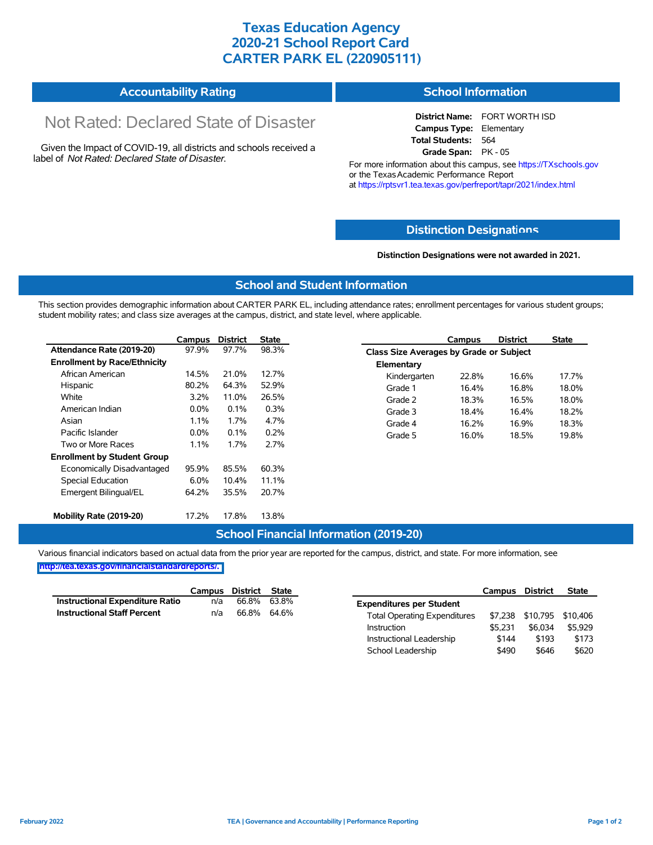## **Texas Education Agency 2020-21 School Report Card CARTER PARK EL (220905111)**

| <b>Accountability Rating</b> | <b>School Information</b> |
|------------------------------|---------------------------|
|------------------------------|---------------------------|

# Not Rated: Declared State of Disaster

Given the Impact of COVID-19, all districts and schools received a label of *Not Rated: Declared State of Disaster.*

**District Name:** FORT WORTH ISD **Campus Type:** Elementary **Total Students:** 564 **Grade Span:** PK - 05

For more information about this campus, see https://TXschools.gov or the Texas Academic Performance Report at https://rptsvr1.tea.texas.gov/perfreport/tapr/2021/index.html

### **Distinction Designat[ions](https://TXschools.gov)**

**Distinction Designations were not awarded in 2021.**

School Leadership  $$490$  \$646 \$620

#### **School and Student Information**

This section provides demographic information about CARTER PARK EL, including attendance rates; enrollment percentages for various student groups; student mobility rates; and class size averages at the campus, district, and state level, where applicable.

|                                     | Campus  | <b>District</b> | <b>State</b> |              | Campus                                  | <b>District</b> | <b>State</b> |  |  |  |
|-------------------------------------|---------|-----------------|--------------|--------------|-----------------------------------------|-----------------|--------------|--|--|--|
| Attendance Rate (2019-20)           | 97.9%   | 97.7%           | 98.3%        |              | Class Size Averages by Grade or Subject |                 |              |  |  |  |
| <b>Enrollment by Race/Ethnicity</b> |         |                 |              | Elementary   |                                         |                 |              |  |  |  |
| African American                    | 14.5%   | 21.0%           | 12.7%        | Kindergarten | 22.8%                                   | 16.6%           | 17.7%        |  |  |  |
| Hispanic                            | 80.2%   | 64.3%           | 52.9%        | Grade 1      | 16.4%                                   | 16.8%           | 18.0%        |  |  |  |
| White                               | $3.2\%$ | 11.0%           | 26.5%        | Grade 2      | 18.3%                                   | 16.5%           | 18.0%        |  |  |  |
| American Indian                     | $0.0\%$ | 0.1%            | 0.3%         | Grade 3      | 18.4%                                   | 16.4%           | 18.2%        |  |  |  |
| Asian                               | 1.1%    | 1.7%            | 4.7%         | Grade 4      | 16.2%                                   | 16.9%           | 18.3%        |  |  |  |
| Pacific Islander                    | $0.0\%$ | 0.1%            | 0.2%         | Grade 5      | 16.0%                                   | 18.5%           | 19.8%        |  |  |  |
| Two or More Races                   | 1.1%    | 1.7%            | 2.7%         |              |                                         |                 |              |  |  |  |
| <b>Enrollment by Student Group</b>  |         |                 |              |              |                                         |                 |              |  |  |  |
| Economically Disadvantaged          | 95.9%   | 85.5%           | 60.3%        |              |                                         |                 |              |  |  |  |
| Special Education                   | 6.0%    | 10.4%           | 11.1%        |              |                                         |                 |              |  |  |  |
| Emergent Bilingual/EL               | 64.2%   | 35.5%           | 20.7%        |              |                                         |                 |              |  |  |  |
|                                     |         |                 |              |              |                                         |                 |              |  |  |  |
| Mobility Rate (2019-20)             | 17.2%   | 17.8%           | 13.8%        |              |                                         |                 |              |  |  |  |

#### **School Financial Information (2019-20)**

Various financial indicators based on actual data from the prior year are reported for the campus, district, and state. For more information, see

**[http://tea.texas.gov/financialstandardreports/.](http://tea.texas.gov/financialstandardreports/)**

|                                        | Campus | District | State |                                     | Campus  | <b>District</b> | <b>State</b>              |
|----------------------------------------|--------|----------|-------|-------------------------------------|---------|-----------------|---------------------------|
| <b>Instructional Expenditure Ratio</b> | n/a    | 66.8%    | 63.8% | <b>Expenditures per Student</b>     |         |                 |                           |
| <b>Instructional Staff Percent</b>     | n/a    | 66.8%    | 64.6% | <b>Total Operating Expenditures</b> |         |                 | \$7,238 \$10,795 \$10,406 |
|                                        |        |          |       | Instruction                         | \$5.231 | \$6.034         | \$5.929                   |
|                                        |        |          |       | Instructional Leadership            | \$144   | \$193           | \$173                     |